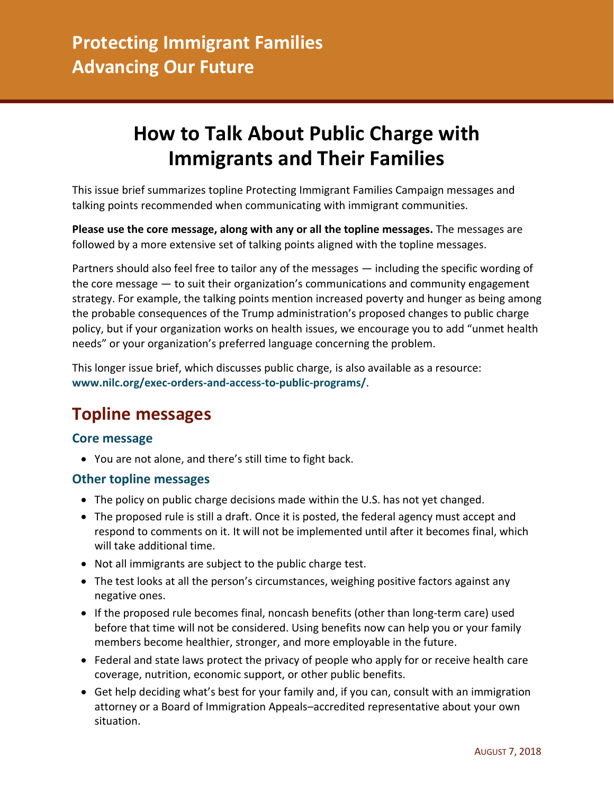# **How to Talk About Public Charge with Immigrants and Their Families**

This issue brief summarizes topline Protecting Immigrant Families Campaign messages and talking points recommended when communicating with immigrant communities.

**Please use the core message, along with any or all the topline messages.** The messages are followed by a more extensive set of talking points aligned with the topline messages.

Partners should also feel free to tailor any of the messages — including the specific wording of the core message — to suit their organization's communications and community engagement strategy. For example, the talking points mention increased poverty and hunger as being among the probable consequences of the Trump administration's proposed changes to public charge policy, but if your organization works on health issues, we encourage you to add "unmet health needs" or your organization's preferred language concerning the problem.

This longer issue brief, which discusses public charge, is also available as a resource: **[www.nilc.org/exec-orders-and-access-to-public-programs/](http://www.nilc.org/exec-orders-and-access-to-public-programs/)**.

### **Topline messages**

### **Core message**

• You are not alone, and there's still time to fight back.

#### **Other topline messages**

- The policy on public charge decisions made within the U.S. has not yet changed.
- The proposed rule is still a draft. Once it is posted, the federal agency must accept and respond to comments on it. It will not be implemented until after it becomes final, which will take additional time.
- Not all immigrants are subject to the public charge test.
- The test looks at all the person's circumstances, weighing positive factors against any negative ones.
- If the proposed rule becomes final, noncash benefits (other than long-term care) used before that time will not be considered. Using benefits now can help you or your family members become healthier, stronger, and more employable in the future.
- Federal and state laws protect the privacy of people who apply for or receive health care coverage, nutrition, economic support, or other public benefits.
- Get help deciding what's best for your family and, if you can, consult with an immigration attorney or a Board of Immigration Appeals–accredited representative about your own situation.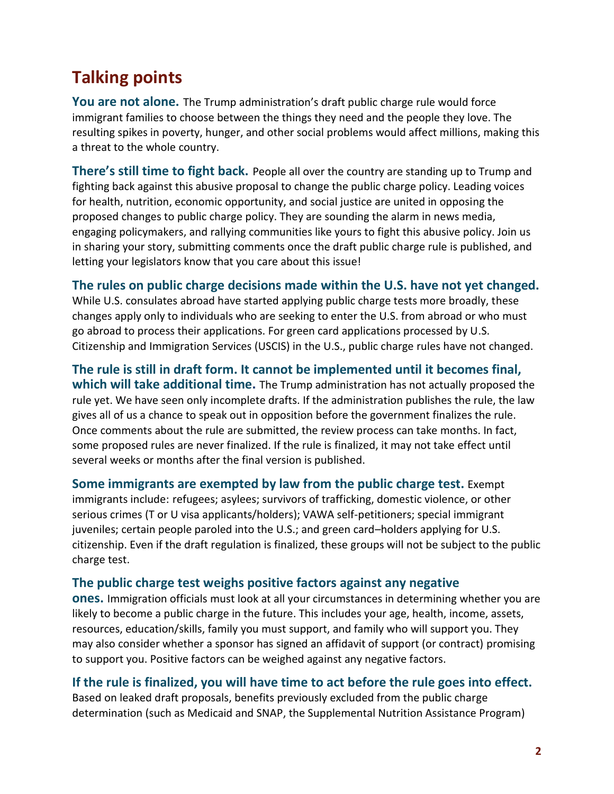## **Talking points**

**You are not alone.** The Trump administration's draft public charge rule would force immigrant families to choose between the things they need and the people they love. The resulting spikes in poverty, hunger, and other social problems would affect millions, making this a threat to the whole country.

**There's still time to fight back.** People all over the country are standing up to Trump and fighting back against this abusive proposal to change the public charge policy. Leading voices for health, nutrition, economic opportunity, and social justice are united in opposing the proposed changes to public charge policy. They are sounding the alarm in news media, engaging policymakers, and rallying communities like yours to fight this abusive policy. Join us in sharing your story, submitting comments once the draft public charge rule is published, and letting your legislators know that you care about this issue!

### **The rules on public charge decisions made within the U.S. have not yet changed.**

While U.S. consulates abroad have started applying public charge tests more broadly, these changes apply only to individuals who are seeking to enter the U.S. from abroad or who must go abroad to process their applications. For green card applications processed by U.S. Citizenship and Immigration Services (USCIS) in the U.S., public charge rules have not changed.

**The rule is still in draft form. It cannot be implemented until it becomes final, which will take additional time.** The Trump administration has not actually proposed the rule yet. We have seen only incomplete drafts. If the administration publishes the rule, the law gives all of us a chance to speak out in opposition before the government finalizes the rule. Once comments about the rule are submitted, the review process can take months. In fact, some proposed rules are never finalized. If the rule is finalized, it may not take effect until several weeks or months after the final version is published.

**Some immigrants are exempted by law from the public charge test.** Exempt immigrants include: refugees; asylees; survivors of trafficking, domestic violence, or other serious crimes (T or U visa applicants/holders); VAWA self-petitioners; special immigrant juveniles; certain people paroled into the U.S.; and green card–holders applying for U.S. citizenship. Even if the draft regulation is finalized, these groups will not be subject to the public charge test.

### **The public charge test weighs positive factors against any negative**

**ones.** Immigration officials must look at all your circumstances in determining whether you are likely to become a public charge in the future. This includes your age, health, income, assets, resources, education/skills, family you must support, and family who will support you. They may also consider whether a sponsor has signed an affidavit of support (or contract) promising to support you. Positive factors can be weighed against any negative factors.

### **If the rule is finalized, you will have time to act before the rule goes into effect.**

Based on leaked draft proposals, benefits previously excluded from the public charge determination (such as Medicaid and SNAP, the Supplemental Nutrition Assistance Program)